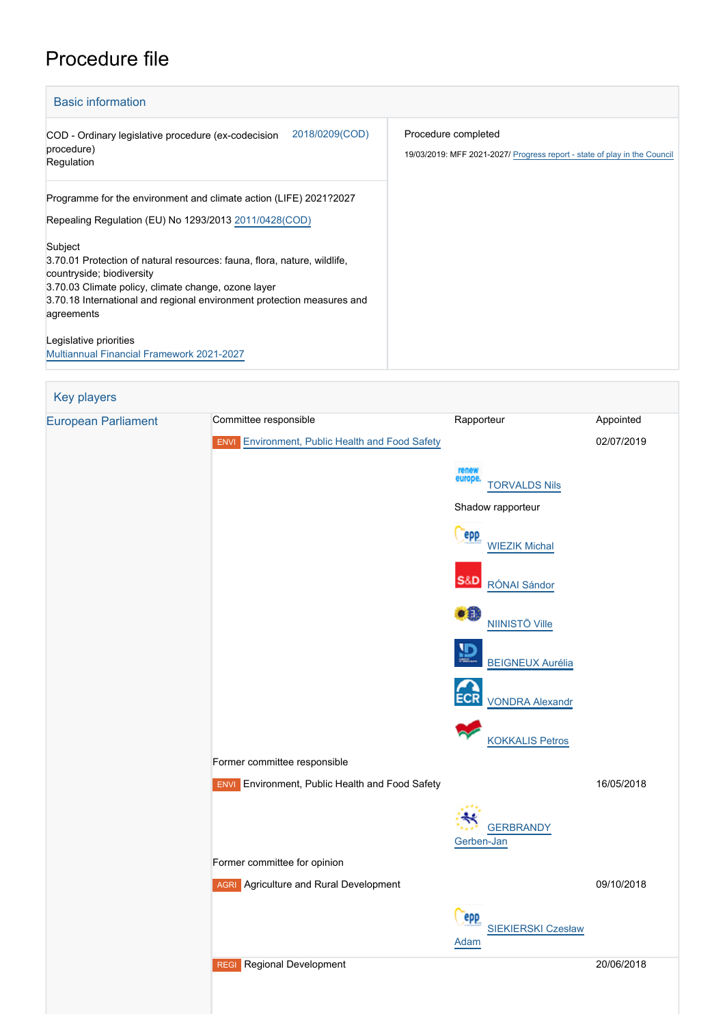# Procedure file

| <b>Basic information</b>                                                                                                                                                                                                                                        |                                                                                                  |
|-----------------------------------------------------------------------------------------------------------------------------------------------------------------------------------------------------------------------------------------------------------------|--------------------------------------------------------------------------------------------------|
| 2018/0209(COD)<br>COD - Ordinary legislative procedure (ex-codecision<br>procedure)<br>Regulation                                                                                                                                                               | Procedure completed<br>19/03/2019: MFF 2021-2027/ Progress report - state of play in the Council |
| Programme for the environment and climate action (LIFE) 2021?2027<br>Repealing Regulation (EU) No 1293/2013 2011/0428(COD)                                                                                                                                      |                                                                                                  |
| Subject<br>3.70.01 Protection of natural resources: fauna, flora, nature, wildlife,<br>countryside; biodiversity<br>3.70.03 Climate policy, climate change, ozone layer<br>3.70.18 International and regional environment protection measures and<br>agreements |                                                                                                  |
| Legislative priorities<br><b>Multiannual Financial Framework 2021-2027</b>                                                                                                                                                                                      |                                                                                                  |

Key players [European Parliament](http://www.europarl.europa.eu/) Committee responsible Rapporteur Rapporteur Appointed **ENVI** [Environment, Public Health and Food Safety](http://www.europarl.europa.eu/committees/en/envi/home.html) 02/07/2019 [TORVALDS Nils](http://www.europarl.europa.eu/meps/en/114268) Shadow rapporteur epp [WIEZIK Michal](http://www.europarl.europa.eu/meps/en/197769) **S&D**  [RÓNAI Sándor](http://www.europarl.europa.eu/meps/en/197584)  $\bullet$ <sup> $\bullet$ </sup> [NIINISTÖ Ville](http://www.europarl.europa.eu/meps/en/197802)  $\mathbf{D}$  [BEIGNEUX Aurélia](http://www.europarl.europa.eu/meps/en/197680) ECR [VONDRA Alexandr](http://www.europarl.europa.eu/meps/en/197537) [KOKKALIS Petros](http://www.europarl.europa.eu/meps/en/197743) Former committee responsible **ENVI** Environment, Public Health and Food Safety 16/05/2018 **[GERBRANDY](http://www.europarl.europa.eu/meps/en/96940)** [Gerben-Jan](http://www.europarl.europa.eu/meps/en/96940) Former committee for opinion **AGRI** Agriculture and Rural Development 09/10/2018 epp [SIEKIERSKI Czesław](http://www.europarl.europa.eu/meps/en/23787) [Adam](http://www.europarl.europa.eu/meps/en/23787) REGI Regional Development 20/06/2018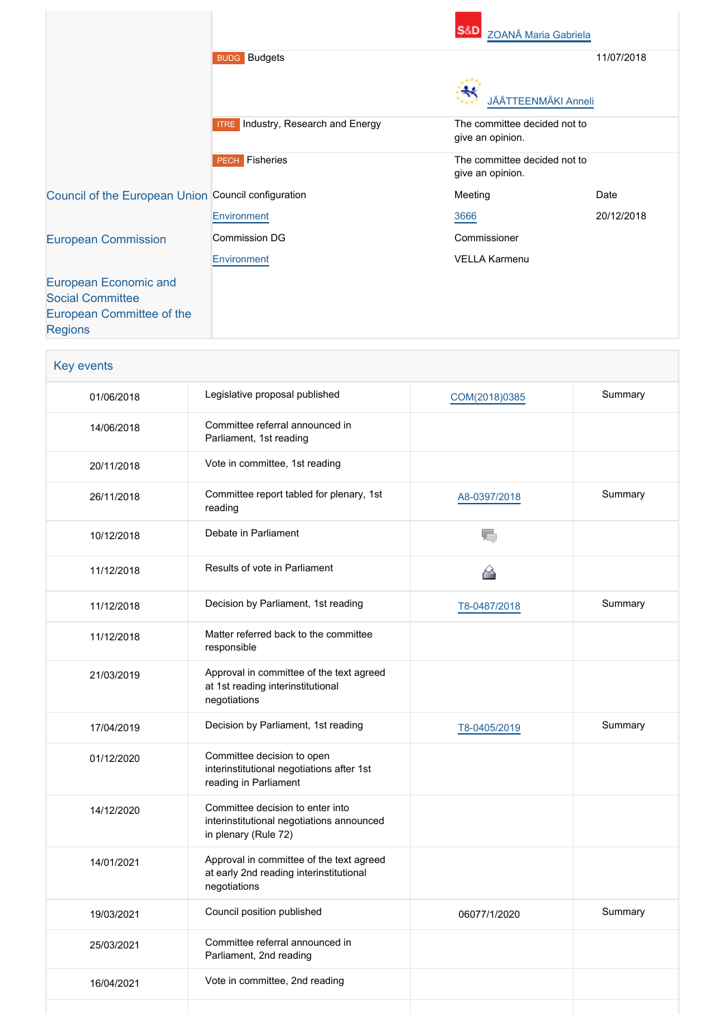|                                                     |                                              | <b>S&amp;D</b><br><b>ZOANĂ Maria Gabriela</b>    |            |
|-----------------------------------------------------|----------------------------------------------|--------------------------------------------------|------------|
|                                                     | <b>BUDG</b> Budgets                          |                                                  | 11/07/2018 |
|                                                     |                                              | <b>JÄÄTTEENMÄKI Anneli</b>                       |            |
|                                                     | Industry, Research and Energy<br><b>ITRE</b> | The committee decided not to<br>give an opinion. |            |
|                                                     | <b>PECH</b> Fisheries                        | The committee decided not to<br>give an opinion. |            |
| Council of the European Union Council configuration |                                              | Meeting                                          | Date       |
|                                                     | Environment                                  | 3666                                             | 20/12/2018 |
| <b>European Commission</b>                          | <b>Commission DG</b>                         | Commissioner                                     |            |
|                                                     | Environment                                  | VELLA Karmenu                                    |            |
| <b>European Economic and</b>                        |                                              |                                                  |            |
| <b>Social Committee</b>                             |                                              |                                                  |            |
| European Committee of the<br><b>Regions</b>         |                                              |                                                  |            |

| Key events |                                                                                                       |               |         |
|------------|-------------------------------------------------------------------------------------------------------|---------------|---------|
| 01/06/2018 | Legislative proposal published                                                                        | COM(2018)0385 | Summary |
| 14/06/2018 | Committee referral announced in<br>Parliament, 1st reading                                            |               |         |
| 20/11/2018 | Vote in committee, 1st reading                                                                        |               |         |
| 26/11/2018 | Committee report tabled for plenary, 1st<br>reading                                                   | A8-0397/2018  | Summary |
| 10/12/2018 | Debate in Parliament                                                                                  | 宿             |         |
| 11/12/2018 | Results of vote in Parliament                                                                         |               |         |
| 11/12/2018 | Decision by Parliament, 1st reading                                                                   | T8-0487/2018  | Summary |
| 11/12/2018 | Matter referred back to the committee<br>responsible                                                  |               |         |
| 21/03/2019 | Approval in committee of the text agreed<br>at 1st reading interinstitutional<br>negotiations         |               |         |
| 17/04/2019 | Decision by Parliament, 1st reading                                                                   | T8-0405/2019  | Summary |
| 01/12/2020 | Committee decision to open<br>interinstitutional negotiations after 1st<br>reading in Parliament      |               |         |
| 14/12/2020 | Committee decision to enter into<br>interinstitutional negotiations announced<br>in plenary (Rule 72) |               |         |
| 14/01/2021 | Approval in committee of the text agreed<br>at early 2nd reading interinstitutional<br>negotiations   |               |         |
| 19/03/2021 | Council position published                                                                            | 06077/1/2020  | Summary |
| 25/03/2021 | Committee referral announced in<br>Parliament, 2nd reading                                            |               |         |
| 16/04/2021 | Vote in committee, 2nd reading                                                                        |               |         |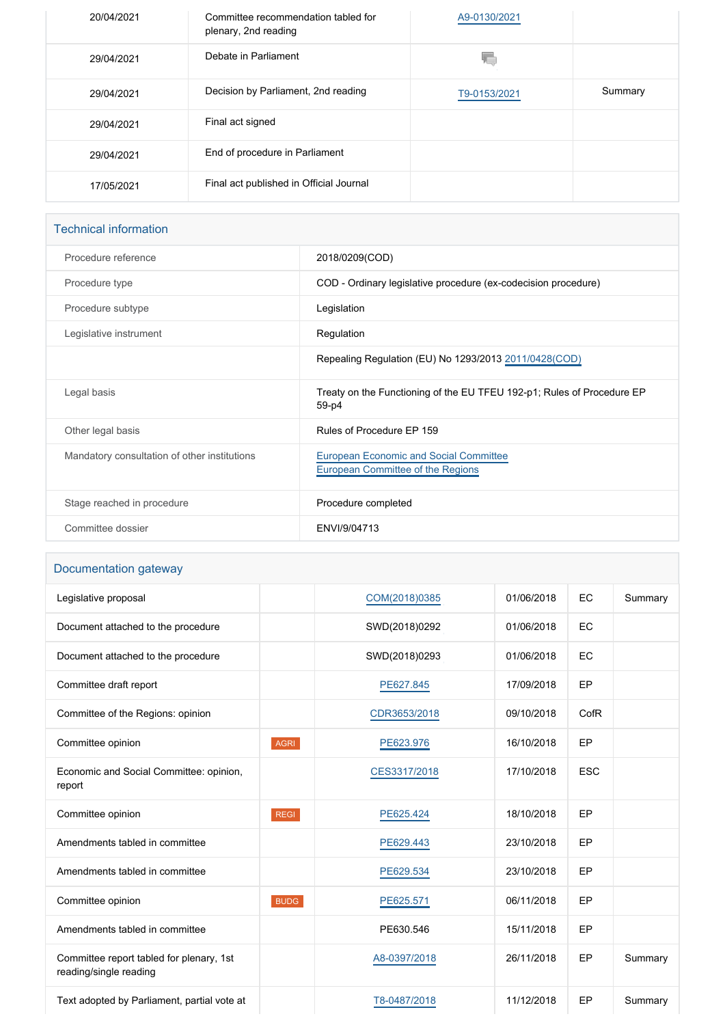| 20/04/2021 | Committee recommendation tabled for<br>plenary, 2nd reading | A9-0130/2021 |         |
|------------|-------------------------------------------------------------|--------------|---------|
| 29/04/2021 | Debate in Parliament                                        |              |         |
| 29/04/2021 | Decision by Parliament, 2nd reading                         | T9-0153/2021 | Summary |
| 29/04/2021 | Final act signed                                            |              |         |
| 29/04/2021 | End of procedure in Parliament                              |              |         |
| 17/05/2021 | Final act published in Official Journal                     |              |         |

# Technical information

| Procedure reference                          | 2018/0209(COD)                                                                     |
|----------------------------------------------|------------------------------------------------------------------------------------|
| Procedure type                               | COD - Ordinary legislative procedure (ex-codecision procedure)                     |
| Procedure subtype                            | Legislation                                                                        |
| Legislative instrument                       | Regulation                                                                         |
|                                              | Repealing Regulation (EU) No 1293/2013 2011/0428 (COD)                             |
| Legal basis                                  | Treaty on the Functioning of the EU TFEU 192-p1; Rules of Procedure EP<br>59-p4    |
| Other legal basis                            | Rules of Procedure FP 159                                                          |
| Mandatory consultation of other institutions | <b>European Economic and Social Committee</b><br>European Committee of the Regions |
| Stage reached in procedure                   | Procedure completed                                                                |
| Committee dossier                            | FNVI/9/04713                                                                       |

# Documentation gateway

| Legislative proposal                                               |             | COM(2018)0385 | 01/06/2018 | EC         | Summary |
|--------------------------------------------------------------------|-------------|---------------|------------|------------|---------|
| Document attached to the procedure                                 |             | SWD(2018)0292 | 01/06/2018 | EC         |         |
| Document attached to the procedure                                 |             | SWD(2018)0293 | 01/06/2018 | EC         |         |
| Committee draft report                                             |             | PE627.845     | 17/09/2018 | EP         |         |
| Committee of the Regions: opinion                                  |             | CDR3653/2018  | 09/10/2018 | CofR       |         |
| Committee opinion                                                  | <b>AGRI</b> | PE623.976     | 16/10/2018 | EP         |         |
| Economic and Social Committee: opinion,<br>report                  |             | CES3317/2018  | 17/10/2018 | <b>ESC</b> |         |
| Committee opinion                                                  | <b>REGI</b> | PE625.424     | 18/10/2018 | EP         |         |
| Amendments tabled in committee                                     |             | PE629.443     | 23/10/2018 | EP         |         |
| Amendments tabled in committee                                     |             | PE629.534     | 23/10/2018 | EP         |         |
| Committee opinion                                                  | <b>BUDG</b> | PE625.571     | 06/11/2018 | EP         |         |
| Amendments tabled in committee                                     |             | PE630.546     | 15/11/2018 | EP         |         |
| Committee report tabled for plenary, 1st<br>reading/single reading |             | A8-0397/2018  | 26/11/2018 | EP         | Summary |
| Text adopted by Parliament, partial vote at                        |             | T8-0487/2018  | 11/12/2018 | EP         | Summary |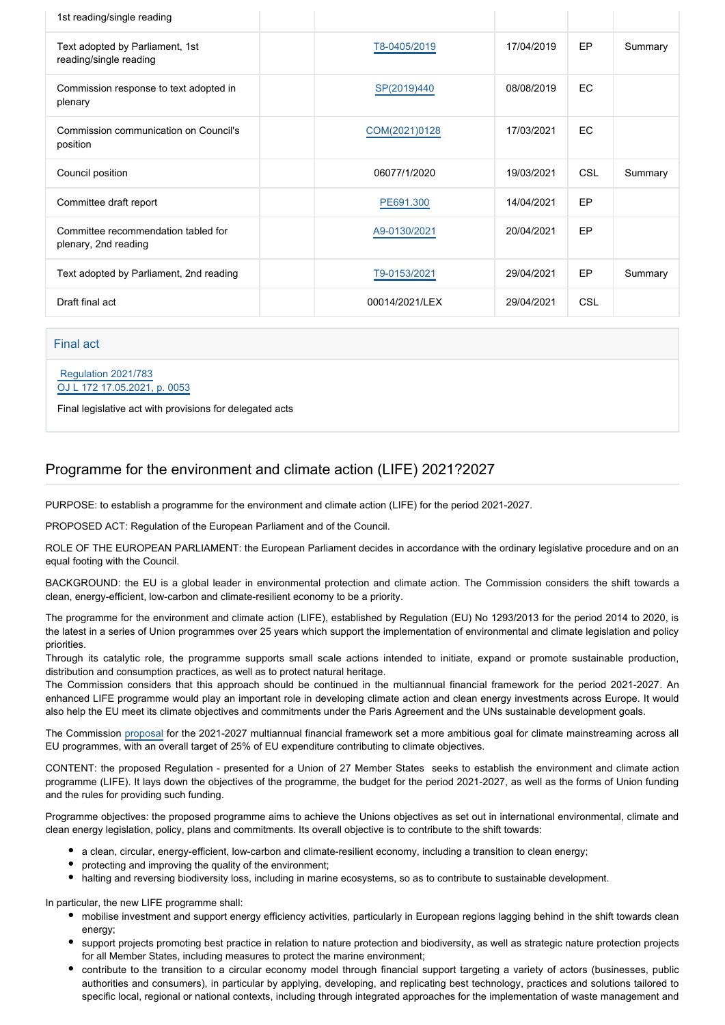| 1st reading/single reading                                  |                |            |            |         |
|-------------------------------------------------------------|----------------|------------|------------|---------|
| Text adopted by Parliament, 1st<br>reading/single reading   | T8-0405/2019   | 17/04/2019 | EP         | Summary |
| Commission response to text adopted in<br>plenary           | SP(2019)440    | 08/08/2019 | <b>EC</b>  |         |
| Commission communication on Council's<br>position           | COM(2021)0128  | 17/03/2021 | <b>EC</b>  |         |
| Council position                                            | 06077/1/2020   | 19/03/2021 | <b>CSL</b> | Summary |
| Committee draft report                                      | PE691.300      | 14/04/2021 | EP         |         |
| Committee recommendation tabled for<br>plenary, 2nd reading | A9-0130/2021   | 20/04/2021 | EP         |         |
| Text adopted by Parliament, 2nd reading                     | T9-0153/2021   | 29/04/2021 | EP         | Summary |
| Draft final act                                             | 00014/2021/LEX | 29/04/2021 | <b>CSL</b> |         |

#### Final act

#### [Regulation 2021/783](https://eur-lex.europa.eu/smartapi/cgi/sga_doc?smartapi!celexplus!prod!CELEXnumdoc&lg=EN&numdoc=32021R0783) [OJ L 172 17.05.2021, p. 0053](https://eur-lex.europa.eu/legal-content/EN/TXT/?uri=OJ:L:2021:172:TOC)

Final legislative act with provisions for delegated acts

# Programme for the environment and climate action (LIFE) 2021?2027

PURPOSE: to establish a programme for the environment and climate action (LIFE) for the period 2021-2027.

PROPOSED ACT: Regulation of the European Parliament and of the Council.

ROLE OF THE EUROPEAN PARLIAMENT: the European Parliament decides in accordance with the ordinary legislative procedure and on an equal footing with the Council.

BACKGROUND: the EU is a global leader in environmental protection and climate action. The Commission considers the shift towards a clean, energy-efficient, low-carbon and climate-resilient economy to be a priority.

The programme for the environment and climate action (LIFE), established by Regulation (EU) No 1293/2013 for the period 2014 to 2020, is the latest in a series of Union programmes over 25 years which support the implementation of environmental and climate legislation and policy priorities.

Through its catalytic role, the programme supports small scale actions intended to initiate, expand or promote sustainable production, distribution and consumption practices, as well as to protect natural heritage.

The Commission considers that this approach should be continued in the multiannual financial framework for the period 2021-2027. An enhanced LIFE programme would play an important role in developing climate action and clean energy investments across Europe. It would also help the EU meet its climate objectives and commitments under the Paris Agreement and the UNs sustainable development goals.

The Commission [proposal](http://www.europarl.europa.eu/oeil/popups/ficheprocedure.do?reference=2018/0166(APP)&l=en) for the 2021-2027 multiannual financial framework set a more ambitious goal for climate mainstreaming across all EU programmes, with an overall target of 25% of EU expenditure contributing to climate objectives.

CONTENT: the proposed Regulation - presented for a Union of 27 Member States seeks to establish the environment and climate action programme (LIFE). It lays down the objectives of the programme, the budget for the period 2021-2027, as well as the forms of Union funding and the rules for providing such funding.

Programme objectives: the proposed programme aims to achieve the Unions objectives as set out in international environmental, climate and clean energy legislation, policy, plans and commitments. Its overall objective is to contribute to the shift towards:

- a clean, circular, energy-efficient, low-carbon and climate-resilient economy, including a transition to clean energy;
- protecting and improving the quality of the environment;
- halting and reversing biodiversity loss, including in marine ecosystems, so as to contribute to sustainable development.

In particular, the new LIFE programme shall:

- mobilise investment and support energy efficiency activities, particularly in European regions lagging behind in the shift towards clean energy;
- support projects promoting best practice in relation to nature protection and biodiversity, as well as strategic nature protection projects for all Member States, including measures to protect the marine environment;
- contribute to the transition to a circular economy model through financial support targeting a variety of actors (businesses, public authorities and consumers), in particular by applying, developing, and replicating best technology, practices and solutions tailored to specific local, regional or national contexts, including through integrated approaches for the implementation of waste management and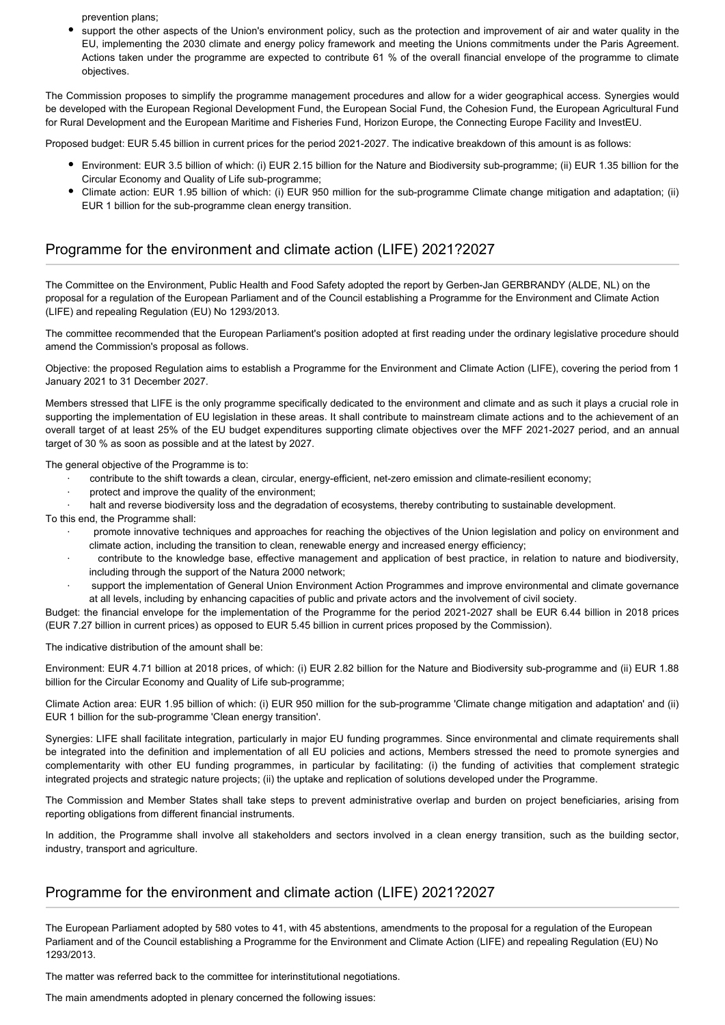prevention plans;

support the other aspects of the Union's environment policy, such as the protection and improvement of air and water quality in the EU, implementing the 2030 climate and energy policy framework and meeting the Unions commitments under the Paris Agreement. Actions taken under the programme are expected to contribute 61 % of the overall financial envelope of the programme to climate objectives.

The Commission proposes to simplify the programme management procedures and allow for a wider geographical access. Synergies would be developed with the European Regional Development Fund, the European Social Fund, the Cohesion Fund, the European Agricultural Fund for Rural Development and the European Maritime and Fisheries Fund, Horizon Europe, the Connecting Europe Facility and InvestEU.

Proposed budget: EUR 5.45 billion in current prices for the period 2021-2027. The indicative breakdown of this amount is as follows:

- Environment: EUR 3.5 billion of which: (i) EUR 2.15 billion for the Nature and Biodiversity sub-programme; (ii) EUR 1.35 billion for the Circular Economy and Quality of Life sub-programme;
- Climate action: EUR 1.95 billion of which: (i) EUR 950 million for the sub-programme Climate change mitigation and adaptation; (ii) EUR 1 billion for the sub-programme clean energy transition.

# Programme for the environment and climate action (LIFE) 2021?2027

The Committee on the Environment, Public Health and Food Safety adopted the report by Gerben-Jan GERBRANDY (ALDE, NL) on the proposal for a regulation of the European Parliament and of the Council establishing a Programme for the Environment and Climate Action (LIFE) and repealing Regulation (EU) No 1293/2013.

The committee recommended that the European Parliament's position adopted at first reading under the ordinary legislative procedure should amend the Commission's proposal as follows.

Objective: the proposed Regulation aims to establish a Programme for the Environment and Climate Action (LIFE), covering the period from 1 January 2021 to 31 December 2027.

Members stressed that LIFE is the only programme specifically dedicated to the environment and climate and as such it plays a crucial role in supporting the implementation of EU legislation in these areas. It shall contribute to mainstream climate actions and to the achievement of an overall target of at least 25% of the EU budget expenditures supporting climate objectives over the MFF 2021-2027 period, and an annual target of 30 % as soon as possible and at the latest by 2027.

The general objective of the Programme is to:

- · contribute to the shift towards a clean, circular, energy-efficient, net-zero emission and climate-resilient economy;
- protect and improve the quality of the environment;
- halt and reverse biodiversity loss and the degradation of ecosystems, thereby contributing to sustainable development.

To this end, the Programme shall:

- · promote innovative techniques and approaches for reaching the objectives of the Union legislation and policy on environment and climate action, including the transition to clean, renewable energy and increased energy efficiency;
- contribute to the knowledge base, effective management and application of best practice, in relation to nature and biodiversity, including through the support of the Natura 2000 network;
- support the implementation of General Union Environment Action Programmes and improve environmental and climate governance at all levels, including by enhancing capacities of public and private actors and the involvement of civil society.

Budget: the financial envelope for the implementation of the Programme for the period 2021-2027 shall be EUR 6.44 billion in 2018 prices (EUR 7.27 billion in current prices) as opposed to EUR 5.45 billion in current prices proposed by the Commission).

The indicative distribution of the amount shall be:

Environment: EUR 4.71 billion at 2018 prices, of which: (i) EUR 2.82 billion for the Nature and Biodiversity sub-programme and (ii) EUR 1.88 billion for the Circular Economy and Quality of Life sub-programme;

Climate Action area: EUR 1.95 billion of which: (i) EUR 950 million for the sub-programme 'Climate change mitigation and adaptation' and (ii) EUR 1 billion for the sub-programme 'Clean energy transition'.

Synergies: LIFE shall facilitate integration, particularly in major EU funding programmes. Since environmental and climate requirements shall be integrated into the definition and implementation of all EU policies and actions, Members stressed the need to promote synergies and complementarity with other EU funding programmes, in particular by facilitating: (i) the funding of activities that complement strategic integrated projects and strategic nature projects; (ii) the uptake and replication of solutions developed under the Programme.

The Commission and Member States shall take steps to prevent administrative overlap and burden on project beneficiaries, arising from reporting obligations from different financial instruments.

In addition, the Programme shall involve all stakeholders and sectors involved in a clean energy transition, such as the building sector, industry, transport and agriculture.

# Programme for the environment and climate action (LIFE) 2021?2027

The European Parliament adopted by 580 votes to 41, with 45 abstentions, amendments to the proposal for a regulation of the European Parliament and of the Council establishing a Programme for the Environment and Climate Action (LIFE) and repealing Regulation (EU) No 1293/2013.

The matter was referred back to the committee for interinstitutional negotiations.

The main amendments adopted in plenary concerned the following issues: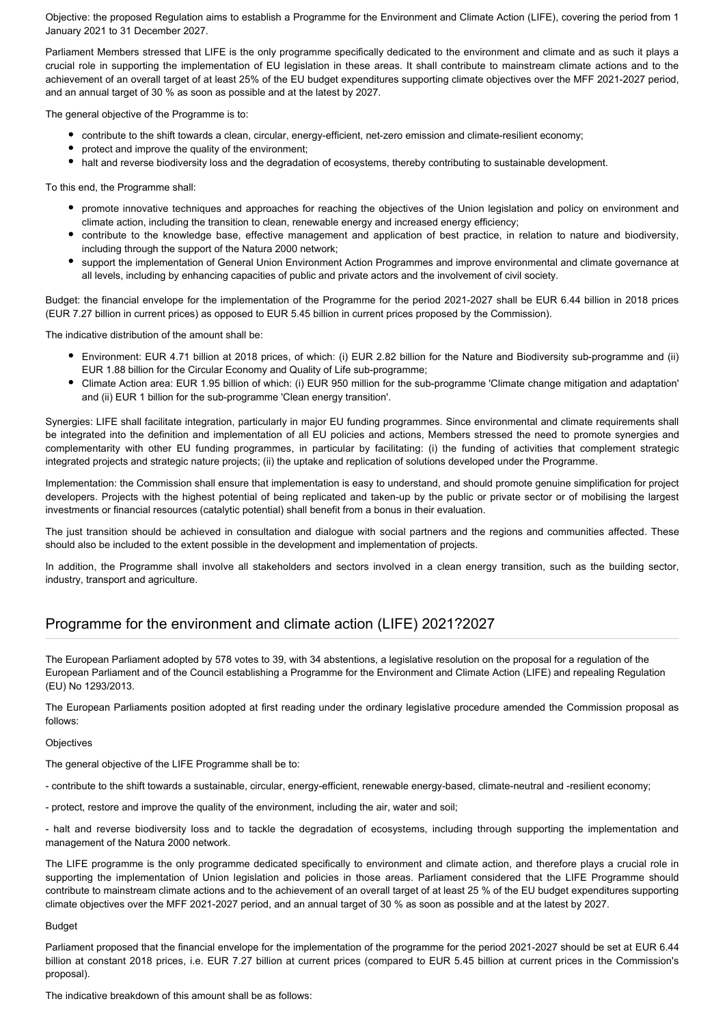Objective: the proposed Regulation aims to establish a Programme for the Environment and Climate Action (LIFE), covering the period from 1 January 2021 to 31 December 2027.

Parliament Members stressed that LIFE is the only programme specifically dedicated to the environment and climate and as such it plays a crucial role in supporting the implementation of EU legislation in these areas. It shall contribute to mainstream climate actions and to the achievement of an overall target of at least 25% of the EU budget expenditures supporting climate objectives over the MFF 2021-2027 period, and an annual target of 30 % as soon as possible and at the latest by 2027.

The general objective of the Programme is to:

- contribute to the shift towards a clean, circular, energy-efficient, net-zero emission and climate-resilient economy;
- protect and improve the quality of the environment;
- halt and reverse biodiversity loss and the degradation of ecosystems, thereby contributing to sustainable development.

To this end, the Programme shall:

- promote innovative techniques and approaches for reaching the objectives of the Union legislation and policy on environment and climate action, including the transition to clean, renewable energy and increased energy efficiency;
- contribute to the knowledge base, effective management and application of best practice, in relation to nature and biodiversity, including through the support of the Natura 2000 network;
- support the implementation of General Union Environment Action Programmes and improve environmental and climate governance at all levels, including by enhancing capacities of public and private actors and the involvement of civil society.

Budget: the financial envelope for the implementation of the Programme for the period 2021-2027 shall be EUR 6.44 billion in 2018 prices (EUR 7.27 billion in current prices) as opposed to EUR 5.45 billion in current prices proposed by the Commission).

The indicative distribution of the amount shall be:

- Environment: EUR 4.71 billion at 2018 prices, of which: (i) EUR 2.82 billion for the Nature and Biodiversity sub-programme and (ii) EUR 1.88 billion for the Circular Economy and Quality of Life sub-programme;
- Climate Action area: EUR 1.95 billion of which: (i) EUR 950 million for the sub-programme 'Climate change mitigation and adaptation' and (ii) EUR 1 billion for the sub-programme 'Clean energy transition'.

Synergies: LIFE shall facilitate integration, particularly in major EU funding programmes. Since environmental and climate requirements shall be integrated into the definition and implementation of all EU policies and actions, Members stressed the need to promote synergies and complementarity with other EU funding programmes, in particular by facilitating: (i) the funding of activities that complement strategic integrated projects and strategic nature projects; (ii) the uptake and replication of solutions developed under the Programme.

Implementation: the Commission shall ensure that implementation is easy to understand, and should promote genuine simplification for project developers. Projects with the highest potential of being replicated and taken-up by the public or private sector or of mobilising the largest investments or financial resources (catalytic potential) shall benefit from a bonus in their evaluation.

The just transition should be achieved in consultation and dialogue with social partners and the regions and communities affected. These should also be included to the extent possible in the development and implementation of projects.

In addition, the Programme shall involve all stakeholders and sectors involved in a clean energy transition, such as the building sector, industry, transport and agriculture.

# Programme for the environment and climate action (LIFE) 2021?2027

The European Parliament adopted by 578 votes to 39, with 34 abstentions, a legislative resolution on the proposal for a regulation of the European Parliament and of the Council establishing a Programme for the Environment and Climate Action (LIFE) and repealing Regulation (EU) No 1293/2013.

The European Parliaments position adopted at first reading under the ordinary legislative procedure amended the Commission proposal as follows:

#### **Objectives**

The general objective of the LIFE Programme shall be to:

- contribute to the shift towards a sustainable, circular, energy-efficient, renewable energy-based, climate-neutral and -resilient economy;

- protect, restore and improve the quality of the environment, including the air, water and soil;

- halt and reverse biodiversity loss and to tackle the degradation of ecosystems, including through supporting the implementation and management of the Natura 2000 network.

The LIFE programme is the only programme dedicated specifically to environment and climate action, and therefore plays a crucial role in supporting the implementation of Union legislation and policies in those areas. Parliament considered that the LIFE Programme should contribute to mainstream climate actions and to the achievement of an overall target of at least 25 % of the EU budget expenditures supporting climate objectives over the MFF 2021-2027 period, and an annual target of 30 % as soon as possible and at the latest by 2027.

#### Budget

Parliament proposed that the financial envelope for the implementation of the programme for the period 2021-2027 should be set at EUR 6.44 billion at constant 2018 prices, i.e. EUR 7.27 billion at current prices (compared to EUR 5.45 billion at current prices in the Commission's proposal).

The indicative breakdown of this amount shall be as follows: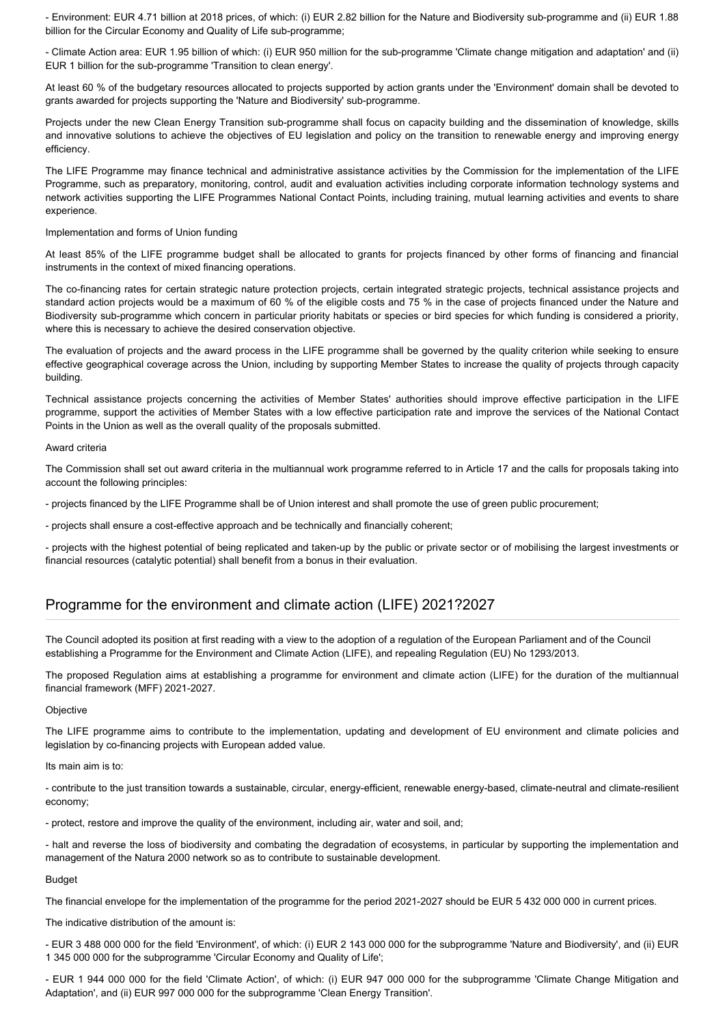- Environment: EUR 4.71 billion at 2018 prices, of which: (i) EUR 2.82 billion for the Nature and Biodiversity sub-programme and (ii) EUR 1.88 billion for the Circular Economy and Quality of Life sub-programme;

- Climate Action area: EUR 1.95 billion of which: (i) EUR 950 million for the sub-programme 'Climate change mitigation and adaptation' and (ii) EUR 1 billion for the sub-programme 'Transition to clean energy'.

At least 60 % of the budgetary resources allocated to projects supported by action grants under the 'Environment' domain shall be devoted to grants awarded for projects supporting the 'Nature and Biodiversity' sub-programme.

Projects under the new Clean Energy Transition sub-programme shall focus on capacity building and the dissemination of knowledge, skills and innovative solutions to achieve the objectives of EU legislation and policy on the transition to renewable energy and improving energy efficiency.

The LIFE Programme may finance technical and administrative assistance activities by the Commission for the implementation of the LIFE Programme, such as preparatory, monitoring, control, audit and evaluation activities including corporate information technology systems and network activities supporting the LIFE Programmes National Contact Points, including training, mutual learning activities and events to share experience.

Implementation and forms of Union funding

At least 85% of the LIFE programme budget shall be allocated to grants for projects financed by other forms of financing and financial instruments in the context of mixed financing operations.

The co-financing rates for certain strategic nature protection projects, certain integrated strategic projects, technical assistance projects and standard action projects would be a maximum of 60 % of the eligible costs and 75 % in the case of projects financed under the Nature and Biodiversity sub-programme which concern in particular priority habitats or species or bird species for which funding is considered a priority, where this is necessary to achieve the desired conservation objective.

The evaluation of projects and the award process in the LIFE programme shall be governed by the quality criterion while seeking to ensure effective geographical coverage across the Union, including by supporting Member States to increase the quality of projects through capacity building.

Technical assistance projects concerning the activities of Member States' authorities should improve effective participation in the LIFE programme, support the activities of Member States with a low effective participation rate and improve the services of the National Contact Points in the Union as well as the overall quality of the proposals submitted.

Award criteria

The Commission shall set out award criteria in the multiannual work programme referred to in Article 17 and the calls for proposals taking into account the following principles:

- projects financed by the LIFE Programme shall be of Union interest and shall promote the use of green public procurement;

- projects shall ensure a cost-effective approach and be technically and financially coherent;

- projects with the highest potential of being replicated and taken-up by the public or private sector or of mobilising the largest investments or financial resources (catalytic potential) shall benefit from a bonus in their evaluation.

### Programme for the environment and climate action (LIFE) 2021?2027

The Council adopted its position at first reading with a view to the adoption of a regulation of the European Parliament and of the Council establishing a Programme for the Environment and Climate Action (LIFE), and repealing Regulation (EU) No 1293/2013.

The proposed Regulation aims at establishing a programme for environment and climate action (LIFE) for the duration of the multiannual financial framework (MFF) 2021-2027.

**Objective** 

The LIFE programme aims to contribute to the implementation, updating and development of EU environment and climate policies and legislation by co-financing projects with European added value.

Its main aim is to:

- contribute to the just transition towards a sustainable, circular, energy-efficient, renewable energy-based, climate-neutral and climate-resilient economy;

- protect, restore and improve the quality of the environment, including air, water and soil, and;

- halt and reverse the loss of biodiversity and combating the degradation of ecosystems, in particular by supporting the implementation and management of the Natura 2000 network so as to contribute to sustainable development.

Budget

The financial envelope for the implementation of the programme for the period 2021-2027 should be EUR 5 432 000 000 in current prices.

The indicative distribution of the amount is:

- EUR 3 488 000 000 for the field 'Environment', of which: (i) EUR 2 143 000 000 for the subprogramme 'Nature and Biodiversity', and (ii) EUR 1 345 000 000 for the subprogramme 'Circular Economy and Quality of Life';

- EUR 1 944 000 000 for the field 'Climate Action', of which: (i) EUR 947 000 000 for the subprogramme 'Climate Change Mitigation and Adaptation', and (ii) EUR 997 000 000 for the subprogramme 'Clean Energy Transition'.